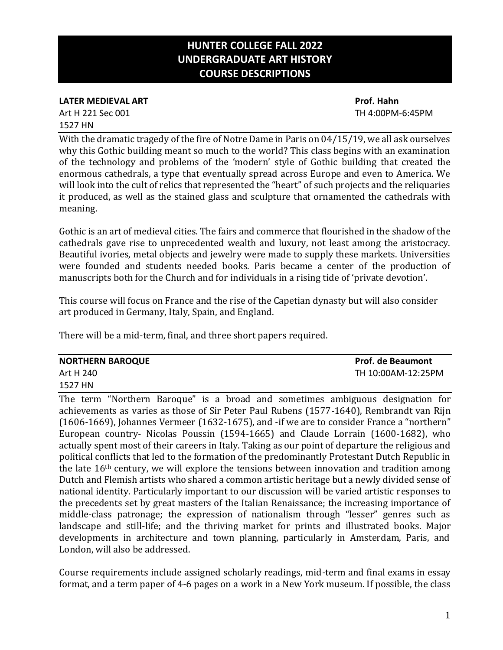# **HUNTER COLLEGE FALL 2022 UNDERGRADUATE ART HISTORY COURSE DESCRIPTIONS**

### **LATER MEDIEVAL ART Prof. Hahn** Art H 221 Sec 001 TH 4:00PM-6:45PM 1527 HN

With the dramatic tragedy of the fire of Notre Dame in Paris on 04/15/19, we all ask ourselves why this Gothic building meant so much to the world? This class begins with an examination of the technology and problems of the 'modern' style of Gothic building that created the enormous cathedrals, a type that eventually spread across Europe and even to America. We will look into the cult of relics that represented the "heart" of such projects and the reliquaries it produced, as well as the stained glass and sculpture that ornamented the cathedrals with meaning.

Gothic is an art of medieval cities. The fairs and commerce that flourished in the shadow of the cathedrals gave rise to unprecedented wealth and luxury, not least among the aristocracy. Beautiful ivories, metal objects and jewelry were made to supply these markets. Universities were founded and students needed books. Paris became a center of the production of manuscripts both for the Church and for individuals in a rising tide of 'private devotion'.

This course will focus on France and the rise of the Capetian dynasty but will also consider art produced in Germany, Italy, Spain, and England.

There will be a mid-term, final, and three short papers required.

| <b>NORTHERN BAROQUE</b> | <b>Prof. de Beaumont</b> |
|-------------------------|--------------------------|
| Art H 240               | TH 10:00AM-12:25PM       |
| 1527 HN                 |                          |

The term "Northern Baroque" is a broad and sometimes ambiguous designation for achievements as varies as those of Sir Peter Paul Rubens (1577-1640), Rembrandt van Rijn (1606-1669), Johannes Vermeer (1632-1675), and -if we are to consider France a "northern" European country- Nicolas Poussin (1594-1665) and Claude Lorrain (1600-1682), who actually spent most of their careers in Italy. Taking as our point of departure the religious and political conflicts that led to the formation of the predominantly Protestant Dutch Republic in the late 16th century, we will explore the tensions between innovation and tradition among Dutch and Flemish artists who shared a common artistic heritage but a newly divided sense of national identity. Particularly important to our discussion will be varied artistic responses to the precedents set by great masters of the Italian Renaissance; the increasing importance of middle-class patronage; the expression of nationalism through "lesser" genres such as landscape and still-life; and the thriving market for prints and illustrated books. Major developments in architecture and town planning, particularly in Amsterdam, Paris, and London, will also be addressed.

Course requirements include assigned scholarly readings, mid-term and final exams in essay format, and a term paper of 4-6 pages on a work in a New York museum. If possible, the class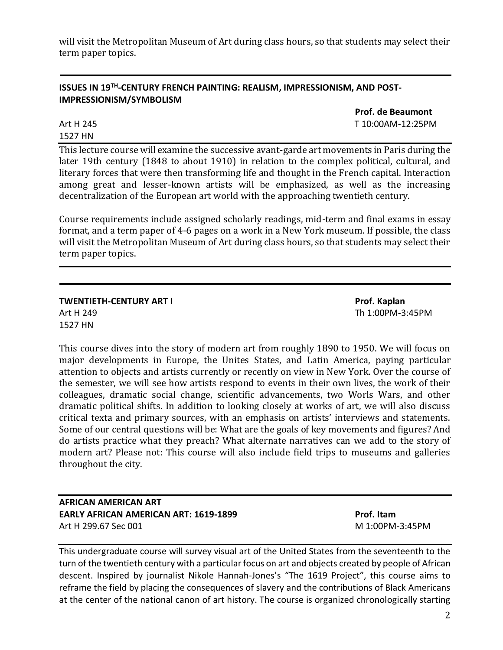will visit the Metropolitan Museum of Art during class hours, so that students may select their term paper topics.

### **ISSUES IN 19TH -CENTURY FRENCH PAINTING: REALISM, IMPRESSIONISM, AND POST-IMPRESSIONISM/SYMBOLISM**

**Prof. de Beaumont** Art H 245 T 10:00AM-12:25PM

1527 HN

This lecture course will examine the successive avant-garde art movements in Paris during the later 19th century (1848 to about 1910) in relation to the complex political, cultural, and literary forces that were then transforming life and thought in the French capital. Interaction among great and lesser-known artists will be emphasized, as well as the increasing decentralization of the European art world with the approaching twentieth century.

Course requirements include assigned scholarly readings, mid-term and final exams in essay format, and a term paper of 4-6 pages on a work in a New York museum. If possible, the class will visit the Metropolitan Museum of Art during class hours, so that students may select their term paper topics.

**TWENTIETH-CENTURY ART I Prof. Kaplan** Art H 249 Th 1:00PM-3:45PM 1527 HN

This course dives into the story of modern art from roughly 1890 to 1950. We will focus on major developments in Europe, the Unites States, and Latin America, paying particular attention to objects and artists currently or recently on view in New York. Over the course of the semester, we will see how artists respond to events in their own lives, the work of their colleagues, dramatic social change, scientific advancements, two Worls Wars, and other dramatic political shifts. In addition to looking closely at works of art, we will also discuss critical texta and primary sources, with an emphasis on artists' interviews and statements. Some of our central questions will be: What are the goals of key movements and figures? And do artists practice what they preach? What alternate narratives can we add to the story of modern art? Please not: This course will also include field trips to museums and galleries throughout the city.

**AFRICAN AMERICAN ART EARLY AFRICAN AMERICAN ART: 1619-1899 Prof. Itam** Art H 299.67 Sec 001 M 1:00PM-3:45PM

This undergraduate course will survey visual art of the United States from the seventeenth to the turn of the twentieth century with a particular focus on art and objects created by people of African descent. Inspired by journalist Nikole Hannah-Jones's "The 1619 Project", this course aims to reframe the field by placing the consequences of slavery and the contributions of Black Americans at the center of the national canon of art history. The course is organized chronologically starting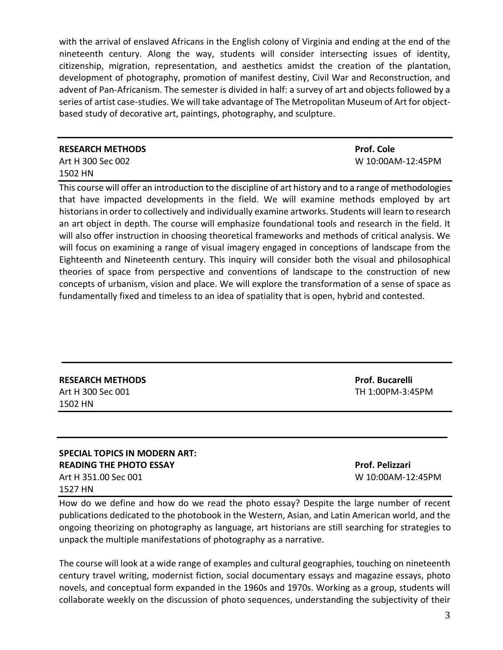with the arrival of enslaved Africans in the English colony of Virginia and ending at the end of the nineteenth century. Along the way, students will consider intersecting issues of identity, citizenship, migration, representation, and aesthetics amidst the creation of the plantation, development of photography, promotion of manifest destiny, Civil War and Reconstruction, and advent of Pan-Africanism. The semester is divided in half: a survey of art and objects followed by a series of artist case-studies. We will take advantage of The Metropolitan Museum of Art for objectbased study of decorative art, paintings, photography, and sculpture.

## **RESEARCH METHODS Prof. Cole** Art H 300 Sec 002 W 10:00AM-12:45PM 1502 HN

This course will offer an introduction to the discipline of art history and to a range of methodologies that have impacted developments in the field. We will examine methods employed by art historians in order to collectively and individually examine artworks. Students will learn to research an art object in depth. The course will emphasize foundational tools and research in the field. It will also offer instruction in choosing theoretical frameworks and methods of critical analysis. We will focus on examining a range of visual imagery engaged in conceptions of landscape from the Eighteenth and Nineteenth century. This inquiry will consider both the visual and philosophical theories of space from perspective and conventions of landscape to the construction of new concepts of urbanism, vision and place. We will explore the transformation of a sense of space as fundamentally fixed and timeless to an idea of spatiality that is open, hybrid and contested.

| <b>RESEARCH METHODS</b> |
|-------------------------|
| Art H 300 Sec 001       |
| 1502 HN                 |

**Prof. Bucarelli** TH 1:00PM-3:45PM

### **SPECIAL TOPICS IN MODERN ART: READING THE PHOTO ESSAY** *Prof. Pelizzari* Art H 351.00 Sec 001 W 10:00AM-12:45PM 1527 HN

How do we define and how do we read the photo essay? Despite the large number of recent publications dedicated to the photobook in the Western, Asian, and Latin American world, and the ongoing theorizing on photography as language, art historians are still searching for strategies to unpack the multiple manifestations of photography as a narrative.

The course will look at a wide range of examples and cultural geographies, touching on nineteenth century travel writing, modernist fiction, social documentary essays and magazine essays, photo novels, and conceptual form expanded in the 1960s and 1970s. Working as a group, students will collaborate weekly on the discussion of photo sequences, understanding the subjectivity of their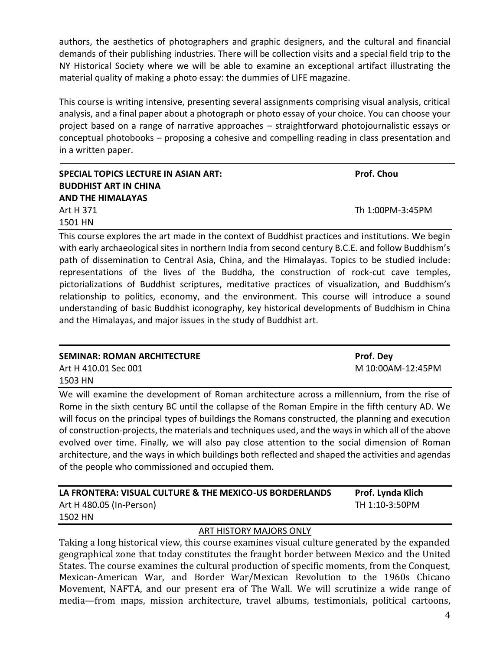authors, the aesthetics of photographers and graphic designers, and the cultural and financial demands of their publishing industries. There will be collection visits and a special field trip to the NY Historical Society where we will be able to examine an exceptional artifact illustrating the material quality of making a photo essay: the dummies of LIFE magazine.

This course is writing intensive, presenting several assignments comprising visual analysis, critical analysis, and a final paper about a photograph or photo essay of your choice. You can choose your project based on a range of narrative approaches – straightforward photojournalistic essays or conceptual photobooks – proposing a cohesive and compelling reading in class presentation and in a written paper.

| SPECIAL TOPICS LECTURE IN ASIAN ART: | <b>Prof. Chou</b> |
|--------------------------------------|-------------------|
| <b>BUDDHIST ART IN CHINA</b>         |                   |
| <b>AND THE HIMALAYAS</b>             |                   |
| Art H 371                            | Th 1:00PM-3:45PM  |
| 1501 HN                              |                   |
|                                      |                   |

This course explores the art made in the context of Buddhist practices and institutions. We begin with early archaeological sites in northern India from second century B.C.E. and follow Buddhism's path of dissemination to Central Asia, China, and the Himalayas. Topics to be studied include: representations of the lives of the Buddha, the construction of rock-cut cave temples, pictorializations of Buddhist scriptures, meditative practices of visualization, and Buddhism's relationship to politics, economy, and the environment. This course will introduce a sound understanding of basic Buddhist iconography, key historical developments of Buddhism in China and the Himalayas, and major issues in the study of Buddhist art.

| <b>SEMINAR: ROMAN ARCHITECTURE</b> | <b>Prof.</b> Dey  |
|------------------------------------|-------------------|
| Art H 410.01 Sec 001               | M 10:00AM-12:45PM |
| 1503 HN                            |                   |

We will examine the development of Roman architecture across a millennium, from the rise of Rome in the sixth century BC until the collapse of the Roman Empire in the fifth century AD. We will focus on the principal types of buildings the Romans constructed, the planning and execution of construction-projects, the materials and techniques used, and the ways in which all of the above evolved over time. Finally, we will also pay close attention to the social dimension of Roman architecture, and the ways in which buildings both reflected and shaped the activities and agendas of the people who commissioned and occupied them.

| LA FRONTERA: VISUAL CULTURE & THE MEXICO-US BORDERLANDS | Prof. Lynda Klich |
|---------------------------------------------------------|-------------------|
| Art H 480.05 (In-Person)                                | TH 1:10-3:50PM    |
| 1502 HN                                                 |                   |

### ART HISTORY MAJORS ONLY

Taking a long historical view, this course examines visual culture generated by the expanded geographical zone that today constitutes the fraught border between Mexico and the United States. The course examines the cultural production of specific moments, from the Conquest, Mexican-American War, and Border War/Mexican Revolution to the 1960s Chicano Movement, NAFTA, and our present era of The Wall. We will scrutinize a wide range of media—from maps, mission architecture, travel albums, testimonials, political cartoons,